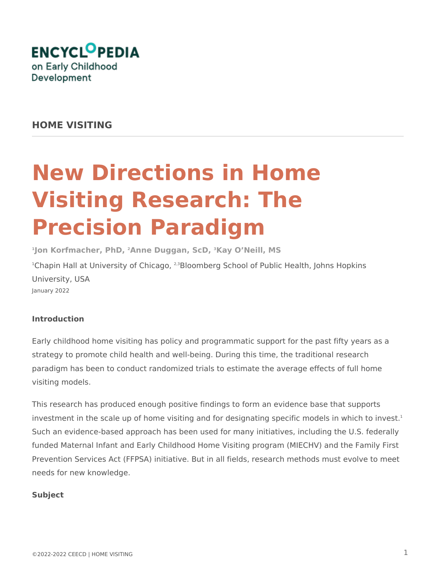

# **HOME VISITING**

# **New Directions in Home Visiting Research: The Precision Paradigm**

**1 Jon Korfmacher, PhD, 2Anne Duggan, ScD, 3Kay O'Neill, MS** <sup>1</sup>Chapin Hall at University of Chicago, <sup>2,3</sup>Bloomberg School of Public Health, Johns Hopkins University, USA January 2022

# **Introduction**

Early childhood home visiting has policy and programmatic support for the past fifty years as a strategy to promote child health and well-being. During this time, the traditional research paradigm has been to conduct randomized trials to estimate the average effects of full home visiting models.

This research has produced enough positive findings to form an evidence base that supports investment in the scale up of home visiting and for designating specific models in which to invest.<sup>1</sup> Such an evidence-based approach has been used for many initiatives, including the U.S. federally funded Maternal Infant and Early Childhood Home Visiting program (MIECHV) and the Family First Prevention Services Act (FFPSA) initiative. But in all fields, research methods must evolve to meet needs for new knowledge.

#### **Subject**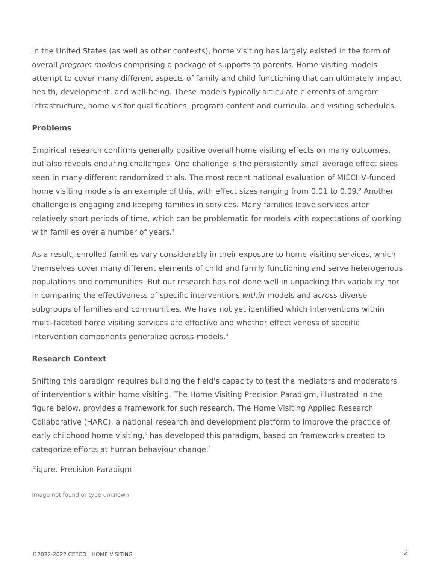In the United States (as well as other contexts), home visiting has largely existed in the form of overall *program models* comprising a package of supports to parents. Home visiting models attempt to cover many different aspects of family and child functioning that can ultimately impact health, development, and well-being. These models typically articulate elements of program infrastructure, home visitor qualifications, program content and curricula, and visiting schedules.

#### **Problems**

Empirical research confirms generally positive overall home visiting effects on many outcomes, but also reveals enduring challenges. One challenge is the persistently small average effect sizes seen in many different randomized trials. The most recent national evaluation of MIECHV-funded home visiting models is an example of this, with effect sizes ranging from 0.01 to 0.09.<sup>2</sup> Another challenge is engaging and keeping families in services. Many families leave services after relatively short periods of time, which can be problematic for models with expectations of working with families over a number of years.<sup>3</sup>

As a result, enrolled families vary considerably in their exposure to home visiting services, which themselves cover many different elements of child and family functioning and serve heterogenous populations and communities. But our research has not done well in unpacking this variability nor in comparing the effectiveness of specific interventions *within* models and *across* diverse subgroups of families and communities. We have not yet identified which interventions within multi-faceted home visiting services are effective and whether effectiveness of specific intervention components generalize across models.<sup>4</sup>

#### **Research Context**

Shifting this paradigm requires building the field's capacity to test the mediators and moderators of interventions within home visiting. The Home Visiting Precision Paradigm, illustrated in the figure below, provides a framework for such research. The Home Visiting Applied Research Collaborative (HARC), a national research and development platform to improve the practice of early childhood home visiting,<sup>5</sup> has developed this paradigm, based on frameworks created to categorize efforts at human behaviour change.<sup>6</sup>

#### Figure. Precision Paradigm

Image not found or type unknown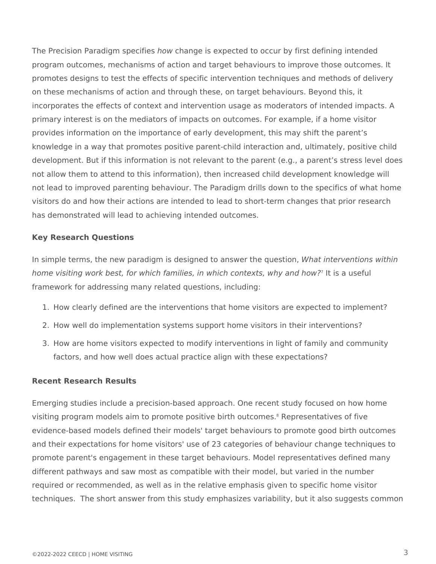The Precision Paradigm specifies *how* change is expected to occur by first defining intended program outcomes, mechanisms of action and target behaviours to improve those outcomes. It promotes designs to test the effects of specific intervention techniques and methods of delivery on these mechanisms of action and through these, on target behaviours. Beyond this, it incorporates the effects of context and intervention usage as moderators of intended impacts. A primary interest is on the mediators of impacts on outcomes. For example, if a home visitor provides information on the importance of early development, this may shift the parent's knowledge in a way that promotes positive parent-child interaction and, ultimately, positive child development. But if this information is not relevant to the parent (e.g., a parent's stress level does not allow them to attend to this information), then increased child development knowledge will not lead to improved parenting behaviour. The Paradigm drills down to the specifics of what home visitors do and how their actions are intended to lead to short-term changes that prior research has demonstrated will lead to achieving intended outcomes.

#### **Key Research Questions**

In simple terms, the new paradigm is designed to answer the question, *What interventions within* home visiting work best, for which families, in which contexts, why and how?' It is a useful framework for addressing many related questions, including:

- 1. How clearly defined are the interventions that home visitors are expected to implement?
- 2. How well do implementation systems support home visitors in their interventions?
- 3. How are home visitors expected to modify interventions in light of family and community factors, and how well does actual practice align with these expectations?

#### **Recent Research Results**

Emerging studies include a precision-based approach. One recent study focused on how home visiting program models aim to promote positive birth outcomes.<sup>8</sup> Representatives of five evidence-based models defined their models' target behaviours to promote good birth outcomes and their expectations for home visitors' use of 23 categories of behaviour change techniques to promote parent's engagement in these target behaviours. Model representatives defined many different pathways and saw most as compatible with their model, but varied in the number required or recommended, as well as in the relative emphasis given to specific home visitor techniques. The short answer from this study emphasizes variability, but it also suggests common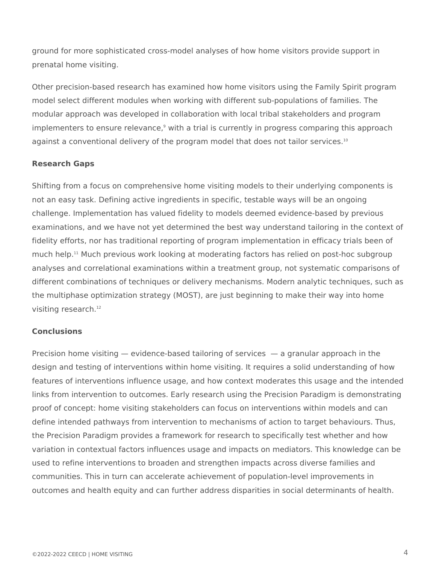ground for more sophisticated cross-model analyses of how home visitors provide support in prenatal home visiting.

Other precision-based research has examined how home visitors using the Family Spirit program model select different modules when working with different sub-populations of families. The modular approach was developed in collaboration with local tribal stakeholders and program implementers to ensure relevance,<sup>9</sup> with a trial is currently in progress comparing this approach against a conventional delivery of the program model that does not tailor services.<sup>10</sup>

# **Research Gaps**

Shifting from a focus on comprehensive home visiting models to their underlying components is not an easy task. Defining active ingredients in specific, testable ways will be an ongoing challenge. Implementation has valued fidelity to models deemed evidence-based by previous examinations, and we have not yet determined the best way understand tailoring in the context of fidelity efforts, nor has traditional reporting of program implementation in efficacy trials been of much help.<sup>11</sup> Much previous work looking at moderating factors has relied on post-hoc subgroup analyses and correlational examinations within a treatment group, not systematic comparisons of different combinations of techniques or delivery mechanisms. Modern analytic techniques, such as the multiphase optimization strategy (MOST), are just beginning to make their way into home visiting research.<sup>12</sup>

# **Conclusions**

Precision home visiting — evidence-based tailoring of services — a granular approach in the design and testing of interventions within home visiting. It requires a solid understanding of how features of interventions influence usage, and how context moderates this usage and the intended links from intervention to outcomes. Early research using the Precision Paradigm is demonstrating proof of concept: home visiting stakeholders can focus on interventions within models and can define intended pathways from intervention to mechanisms of action to target behaviours. Thus, the Precision Paradigm provides a framework for research to specifically test whether and how variation in contextual factors influences usage and impacts on mediators. This knowledge can be used to refine interventions to broaden and strengthen impacts across diverse families and communities. This in turn can accelerate achievement of population-level improvements in outcomes and health equity and can further address disparities in social determinants of health.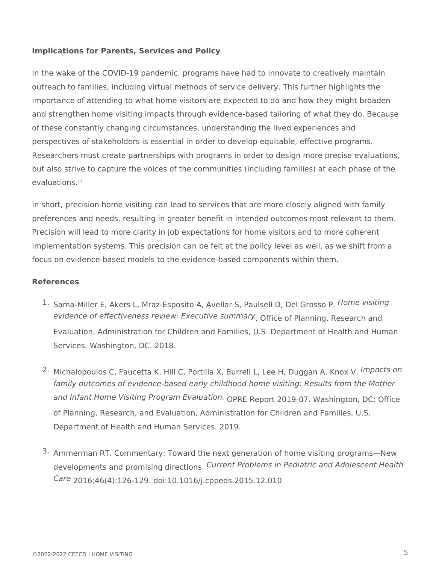### **Implications for Parents, Services and Policy**

In the wake of the COVID-19 pandemic, programs have had to innovate to creatively maintain outreach to families, including virtual methods of service delivery. This further highlights the importance of attending to what home visitors are expected to do and how they might broaden and strengthen home visiting impacts through evidence-based tailoring of what they do. Because of these constantly changing circumstances, understanding the lived experiences and perspectives of stakeholders is essential in order to develop equitable, effective programs. Researchers must create partnerships with programs in order to design more precise evaluations, but also strive to capture the voices of the communities (including families) at each phase of the evaluations.<sup>13</sup>

In short, precision home visiting can lead to services that are more closely aligned with family preferences and needs, resulting in greater benefit in intended outcomes most relevant to them. Precision will lead to more clarity in job expectations for home visitors and to more coherent implementation systems. This precision can be felt at the policy level as well, as we shift from a focus on evidence-based models to the evidence-based components within them.

#### **References**

- 1. Sama-Miller E, Akers L, Mraz-Esposito A, Avellar S, Paulsell D, Del Grosso P. *Home visiting* evidence of effectiveness review: Executive summary<sub>.</sub> Office of Planning, Research and Evaluation, Administration for Children and Families, U.S. Department of Health and Human Services. Washington, DC. 2018.
- 2. Michalopoulos C, Faucetta K, Hill C, Portilla X, Burrell L, Lee H, Duggan A, Knox V. *Impacts on* and Infant Home Visiting Program Evaluation. <sub>OPRE Report 2019-07. Washington, DC: Office</sub> of Planning, Research, and Evaluation, Administration for Children and Families, U.S. Department of Health and Human Services. 2019. *family outcomes of evidence-based early childhood home visiting: Results from the Mother*
- 3. Ammerman RT. Commentary: Toward the next generation of home visiting programs—New developments and promising directions. *Current Problems in Pediatric and Adolescent Health* 2016;46(4):126-129. doi:10.1016/j.cppeds.2015.12.010 *Care*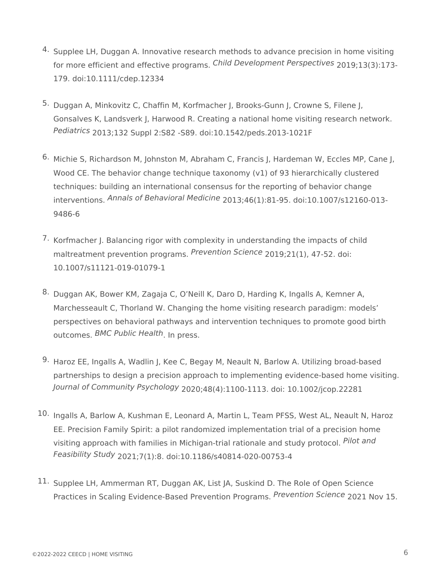- 4. Supplee LH, Duggan A. Innovative research methods to advance precision in home visiting for more efficient and effective programs. Child Development Perspectives 2019;13(3):173-179. doi:10.1111/cdep.12334
- 5. Duggan A, Minkovitz C, Chaffin M, Korfmacher J, Brooks-Gunn J, Crowne S, Filene J, Gonsalves K, Landsverk J, Harwood R. Creating a national home visiting research network. *Pediatrics* 2013;132 Suppl 2:S82 -S89. doi:10.1542/peds.2013-1021F
- <sup>6.</sup> Michie S, Richardson M, Johnston M, Abraham C, Francis J, Hardeman W, Eccles MP, Cane J, Wood CE. The behavior change technique taxonomy (v1) of 93 hierarchically clustered techniques: building an international consensus for the reporting of behavior change interventions. Annals of Behavioral Medicine <sub>2013;46</sub>(1):81-95. doi:10.1007/s12160-013-9486-6
- 7. Korfmacher J. Balancing rigor with complexity in understanding the impacts of child maltreatment prevention programs. Prevention Science 2019;21(1), 47-52. doi: 10.1007/s11121-019-01079-1
- 8. Duggan AK, Bower KM, Zagaja C, O'Neill K, Daro D, Harding K, Ingalls A, Kemner A, Marchesseault C, Thorland W. Changing the home visiting research paradigm: models' perspectives on behavioral pathways and intervention techniques to promote good birth outcomes. *BMC Public Health*. In press.
- 9. Haroz EE, Ingalls A, Wadlin J, Kee C, Begay M, Neault N, Barlow A. Utilizing broad-based partnerships to design a precision approach to implementing evidence-based home visiting. *Journal of Community Psychology* 2020;48(4):1100-1113. doi: 10.1002/jcop.22281
- 10. Ingalls A, Barlow A, Kushman E, Leonard A, Martin L, Team PFSS, West AL, Neault N, Haroz EE. Precision Family Spirit: a pilot randomized implementation trial of a precision home visiting approach with families in Michigan-trial rationale and study protocol. *Pilot and* 2021;7(1):8. doi:10.1186/s40814-020-00753-4 *Feasibility Study*
- $11.$  Supplee LH, Ammerman RT, Duggan AK, List JA, Suskind D. The Role of Open Science Practices in Scaling Evidence-Based Prevention Programs. *Prevention Science* 2021 Nov 15.